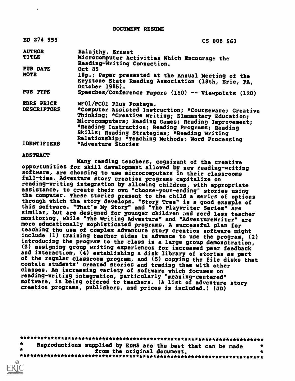DOCUMENT RESUME

| ED 274 955         | CS 008 563                                                                                                                                                                                                                                                                                                                |
|--------------------|---------------------------------------------------------------------------------------------------------------------------------------------------------------------------------------------------------------------------------------------------------------------------------------------------------------------------|
| <b>AUTHOR</b>      | Balajthy, Ernest                                                                                                                                                                                                                                                                                                          |
| TITLE              | Microcomputer Activities Which Encourage the<br>Reading-Writing Connection.                                                                                                                                                                                                                                               |
| PUB DATE           | <b>Oct 85</b>                                                                                                                                                                                                                                                                                                             |
| <b>NOTE</b>        | 10p.; Paper presented at the Annual Meeting of the<br>Keystone State Reading Association (18th, Erie, PA,                                                                                                                                                                                                                 |
|                    | October 1985).                                                                                                                                                                                                                                                                                                            |
| PUB TYPE           | Speeches/Conference Papers (150) -- Viewpoints (120)                                                                                                                                                                                                                                                                      |
| <b>EDRS PRICE</b>  | MF01/PC01 Plus Postage.                                                                                                                                                                                                                                                                                                   |
| <b>DESCRIPTORS</b> | *Computer Assisted Instruction; *Courseware; Creative<br>Thinking; *Creative Writing; Elementary Education;<br>Microcomputers; Reading Games; Reading Improvement;<br>*Reading Instruction; Reading Programs; Reading<br>Skills; Reading Strategies; *Reading Writing<br>Relationship; *Teaching Methods; Word Processing |
| <b>IDENTIFIERS</b> | *Adventure Stories                                                                                                                                                                                                                                                                                                        |

#### ABSTRACT

Many reading teachers, cognizant of the creative opportunities for skill development allowed by new reading-writing software, are choosing to use microcomputers in their classrooms full-time. Adventure story creation programs capitalize on<br>reading-writing integration by allowing children, with appropriate assistance, to create their own "choose-your-ending" stories using the computer. These stories present to the child a series of options through which the story develops. "Story Tree" is a good example of this software. "That's My Story" and "The Playwriter Series" are similar, but are designed for younger children and need less teacher monitoring, while "The Writing Adventure" and "AdventureWriter" are more educationally sophisticated programs. A successful plan for teaching the use of complex adventure story creation software might include (1) training teacher aides in advance to use the program, (2) introducing the program to the class in a large group demonstration, (3) assigning group writing experiences for increased peer feedback and interaction, (4) establishing a disk library of stories as part of the regular classroom program, and (5) copying the file disks that contain students' created stories and trading them with other classes. An increasing variety of software which focuses on reading-writing integration, particularly "meaning-centered" software, is being offered to teachers. (A list of adventure story creation programs, publishers, and prices is included.) (JD)

| Reproductions supplied by EDRS are the best that can be made |                             |  |  |  |
|--------------------------------------------------------------|-----------------------------|--|--|--|
|                                                              | from the original document. |  |  |  |
|                                                              |                             |  |  |  |

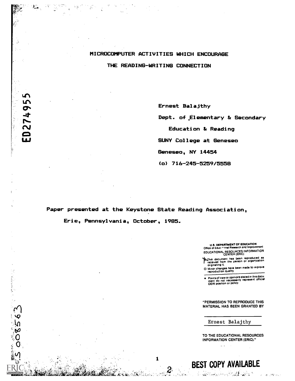# MICROCOMPUTER ACTIVITIES WHICH ENCOURAGE THE READING-WRITING CONNECTION

Ernest Balajthy

Dept. of.Elementary & Secondary

Education & Reading

SUNY College at Geneseo

Geneseo, NY 14454

(0) 716-245-5259/5558

Paper presented at the Keystone State Reading Association,

 $\mathbf{1}$ 

2

Erie, Pennsylvania, October, 1985.

ED27495

ÿ

ė

 $8563$ 

U.S. DEPARTMENT OF EDUCATION<br>Office of Educ (Fonal Research and Improvement EDUCATIONAL RESOURCES INFORMATION CENTER (ERIC)

19his document has been reproduced as "Teceived from the person or organization originating IL

0 Minor changes have been made to improve reproduction quality.

Points of view or opinions stated in this docu- ment do not necessarily represent official OERI position or policy.

"PERMISSION TO REPRODUCE THIS MATERIAL HAS BEEN GRANTED BY

Ernest Balajthy

BEST COPY AVAILABLE

London Committee Committee Committee Committee

 $\ddotsc$ 

TO THE EDUCATIONAL RESOURCES INFORMATION CENTER (ERIC)."

in a la persona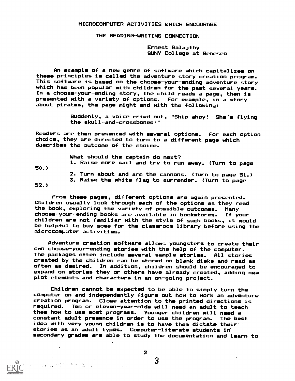### MICROCOMPUTER ACTIVITIES WHICH ENCOURAGE

THE READING-WRITING CONNECTION

Ernest Balajthy SUNY College at Geneseo

An example of a new genre of software which capitalizes on these principles is called the adventure story creation program. This software is based on the choose-your-ending adventure story which has been popular with children for the past several years. In a choose-your-ending story, the child reads a page, then is presented with a variety of options. For example, in a story about pirates, the page might end with the following:

> Suddenly, a voice cried out, "Ship ahoy! She's flying the skull-and-crossbones!"

Readers are then presented with several options. For each option choice, they are directed to turn to a different page which dascribes tho outcome of the choice.

What should the captain do next?

50.)

2. Turn about and arm the cannons. (Turn to page 51.)

1. Raise more sail and try to run away. (Turn to page

3. Raise the white flag to surrender. (Turn to page

52.)

From these pages, different options are again presented. Children usually look through each of the options as they read the book, exploring the variety of possible outcomes. Many choose-your-ending books are available in bookstores. If your children are not familiar with the style of such books, it would be helpful to buy some for the classroom library before using the microcomputer activities.

Adventure creation software al/ows youngsters to create their own choose-your-ending stories with the help of the computer. The packages often include several sample stories. All stories created by the children can be stored on blank disks and read as often as desired. In addition, children should be encouraged to expand on stories they or others have already created, adding new plot elements and characters in an on-going project.

Children cannot be expected to be able to simply turn the computer on and independently figure out how to work an adventure creation program. Close attention to the printed directions is required. Ten or eleven-year-olds will need an adult to teach them how to use most programs. Younger children will need a constant adult presence in order to use the program. The best idea with very young children is to have them dictate their stories as an adult types. Computer-literate students in secondary grades are able to study the documentation and learn to



2

 $\mathbf{3}$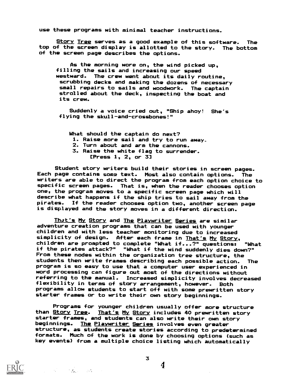use these programs with minimal teacher instructions.

Story Tree serves as a good example of this software. The top of the screen display is allotted to the story. The bottom of the screen page describes the options.

As the morning wore on, the wind picked up, filling the sails and increasing our speed westward. The crew went about its daily routine, scrubbing decks and making the dozens of necessary small repairs to sails and woodwork. The captain strolled about the deck, inspecting the boat and its crew.

Suddenly a voice cried out, "Ship ahoy! She's flying the skull-and-crossbones!"

What should the captain do next? 1. Raise more sail and try to run away.. 2. Turn about and arm the cannons. 3. Raise the white flag to surrender. [Press 1, 2, or 3]

Student story writers build their stories in screen pages. Each page contains some text. Most also contain options. The writers are able to direct the program from each option choice to specific screen pages. That is, when the reader chooses option one, the program moves to a specific screen page which will describe what happens if the ship tries to sail away from the pirates. If the reader chooses option two, another screen page is displayed and the story moves in a different direction.

That's My Story and The Playwriter Series are similar adventure creation programs that can be used with younger children and with less teacher monitoring due to increased simplicity of design. After each frame in That's My Story, children are prompted to complete "What if...?" questions: "What if the pirates attack?" "What if the wind suddenly dies down?" From these nodes within the organization tree structure, the students then write frames describing each possible action. The program is so easy to use that a computer user experienced in word processing can figure out most of the directions without referring to the manual. Increased simplicity involves decreased flexibility in terms of story arrangement, however. Both programs allow students to start off with some prewritten story starter frames or to write their own story beginnings.

Programs for younger children usually offer more structure than Story Tree. That's My Story includes 40 prewritten story starter frames, and students can also write their own story beginnings. The Playwriter Series involves even greater structure, as students create stories according to predetermined formats. Much of the work is done by choosing options (such as key events) from a multiple choice listing which automatically



4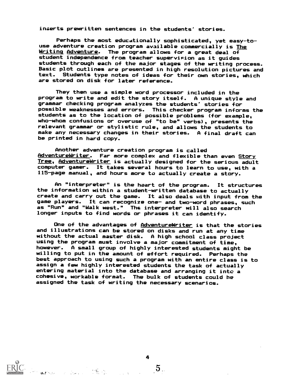inserts prewritten sentences in the students' stories.

Perhaps the most educationally sophisticated, yet easy-touse adventure creation program available commercially is The Writing Adventure. The program allows for a great deal of student independence from teacher supervifion as it guides students through each of the major stages of the writing process. Basic plot outlines are presented in high resolution pictures and text. Students type notes of ideas for their own stories, which are stored on disk for later reference.

They then use a simple word processor included in the program to write and edit the story itself. A unique style and grammar checking program analyzes the students' stories for possible weaknesses and errors. This checker program informs the students as to the location of possible problems (for example, who-whom confusions or overuse of "to be" verbs), presents the relevant grammar or stylistic rule, and allows the students to make any necessary changes in their stories. A final draft can be printed in hard copy.

Another adventure creation program is called AdventureWriter. Far more complex and flexible than even Story Tree, AdventureWriter is actually designed for the serious adult computer gamer. It takes several hours to learn to use, with a 115-page manual, and hours more to actually create a story.

An "interpreter" is the heart of the program. It structures the information within a student-written database to actually create and carry out the game. It also deals with input from the game players. It can recognize one- and two-word phrases, such as "Run" and "Walk west." The interpreter will also search longer inputs to find words or phrases it can identify.

One of the advantages of <u>AdventureWriter</u> is that the stories and illustrations can be stored on disks and run at any time without the actual master disk. A high school class project using the program must involve a major commitment of time, however. A small group of highly interested students might be willing to put in the amount of effort required. Perhaps the best approach to using such a program with an entire class is to assign a few highly interested students the task of actually entering material into the database and arranging it into a cohesive, workable format. The bulk of students could he assigned the task of writing the necessary scenarios.

4

 $\label{eq:2} \frac{1}{2}\sum_{i=1}^M\sum_{j=1}^M\sum_{j=1}^M\left(\frac{1}{2}\sum_{j=1}^M\sum_{j=1}^M\sum_{j=1}^M\sum_{j=1}^M\sum_{j=1}^M\sum_{j=1}^M\sum_{j=1}^M\sum_{j=1}^M\sum_{j=1}^M\sum_{j=1}^M\sum_{j=1}^M\sum_{j=1}^M\sum_{j=1}^M\sum_{j=1}^M\sum_{j=1}^M\sum_{j=1}^M\sum_{j=1}^M\sum_{j=1}^M\sum_{j=1}^M\$ 

**Chat Albert Commencer** 

 $5_{\scriptscriptstyle{\ldots}}$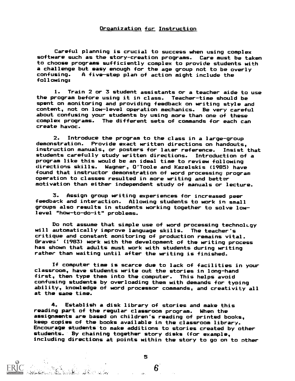#### Organization for Instruction

Careful planning is crucial to success when using complex software such as the story-creation programs. Care must be taken to choose programs sufficiently complex to provide students with a challenge but easy enough for the age group not to be overly<br>confusing. A five-step plan of action might include the A five-step plan of action might include the following:

1. Train 2 or 3 student assistants or a teacher aide to use the program before using it in class. Teacher-time should be spent on monitoring and providing feedback on writing style and content, not on low-level operation mechanics. Be very careful about confusing your students by using more than one of these complex programs. The different sets of commands for each can create havoc.

2. Introduce the program to the class in a large-group demonstration. Provide exact written directions on handouts, instruction manuals, or posters for later reference. Insist that students carefully study written directions. Introduction of a program like this would be an ideal time to review following directions skills. Wagner, O'Toole and Kazelskis (1985) have found that instructor demonstration of word processing program operation to classes resulted in more writing and better motivation than either independent study of manuals or lecture.

3. Assign group writing experiences for increased peer feedback and interaction. Allowing students to work in small groups also results in students working together to solve lowlevel "how-to-do-it" problems.

Do not assume that simple use of word processing technolLgy will automatically improve language skills. The teacher's critique and constant monitoring of production remains vital. Braves' (1983) work with the development of the writing process has shown that adults must work with students during writing rather than waiting until after the writing is finished.

If computer time is scarce due to lack of facilities in your classroom, have students write out the stories in long-hand first, then type them into the computer. This helps avoid confusing students by overloading them with demands for typing ability, knowledge of word processor commands, and creativity all at the same time.

4. Establish a disk library of stories and make this reading part of the regular classroom program. When the assignments are based on children's reading of printed books, keep copies of the books available in the classroom library. Encourage students to make additions to stories created by other students. By chaining together story disks (for example, including directions at points within the story to go on to other

5

 $6^{\circ}$ 

adoleh karatuan di kabupatèn Kabupatèn Labu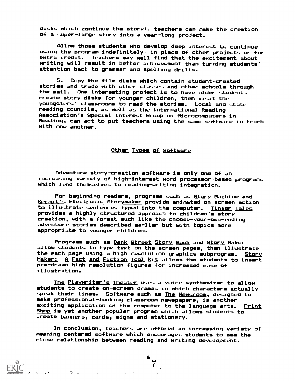disks which continue the story). teachers can make the creation of a super-large story into a year-long project.

Allow those students who develop deep interest to continue using the program indefinitely--in place of other projects or for extra credit. Teachers may well find that the excitement about writing will result in better achievement than turning students' attention back to grammar and spelling drills.

5. Copy the file disks which contain student-created stories and trade with other classes and other schools through the mail. One interesting project is to have older students create story disks for younger children, then visit the youngsters' classrooms to read the stories. Local and state reading councils, as well as the International Reading Association's Special Interest Group on Microcomputers in Reading, can act to put teachers using the same software in touch with one another.

## Other Types of Software

Adventure story-creation software is only one of an increasing variety of high-interest word processor-based programs which lend themselves to reading-writing integration.

For beginning readers, programs such as Story Machine and Kermit's Electronic Storymaker provide animated on-screen action to illustrate sentences typed into the computer. Tinker Tales provides a highly structured approach to children's story creation, with a format much like the choose-your-own-ending adventure stories described earlier but with topics more appropriate to younger children.

Programs such as Bank Street Story Book and Story Maker allow students to type text on the screen pages, then illustrate the each page using a high resolution graphics subprogram. Story Maker: A Fact and Fiction Tool Kit allows the students to insert pre-drawn high resolution figures for increased ease of illustration.

The Playwriter's Theater uses a voice synthesizer to allow students to create on-screen dramas in which characters actually speak their lines. Software such as The Newsroom, designed to make professional-looking classroom newspapers, is another exciting application of the computer to the language arts. Print Shop is yet another popular program which allows students to create banners, cards, signs and stationery.

In conclusion, teachers are offered an increasing variety of meaning-centered software which encourages students to see the close relationship between reading and writing development.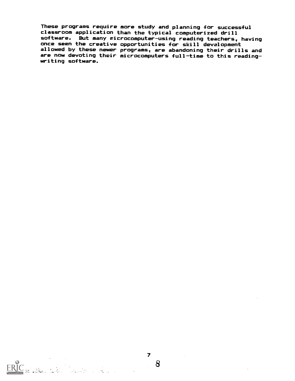These programs require more study and planning for successful classroom application than the typical computerized drill software. But many wicrocomputer-using reading teachers, having once seen the creative opportunities for skill development allowed by these newer programs, are abandoning their drills and are now devoting their microcomputers full-time to this readingwriting software.

an<br>**San Alba Carl**el (Carleland de Carleland)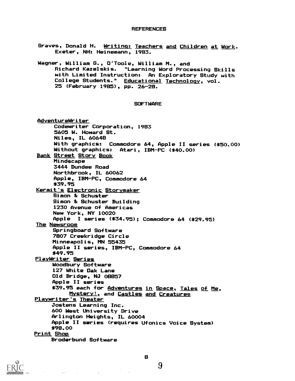#### REFERENCES

- Graves, Donald H. Writing: Teachers and Children at Work. Exeter, NH: Heinemann, 1983.
- Wagner, William 8., O'Toole, William M., and Richard Kazelskis. "Learning Word Processing Skills with Limited Instruction: An Exploratory Study with College Students." Educational Technology, vol. 25 (February 1985), pp. 26-28.

### **SOFTWARE**

AdventureWriter Codewriter Corporation, 1983 5605 W. Howard St. Niles, IL 60648 With graphics: Commodore 64, Apple II series (\$50.00) Without graphics: Atari, IBM-PC (\$40.00) Bank Street Story Book Mindscape 3444 Dundee Road Northbrook, IL 60062 Apple, IBM-PC, Commodore 64 \*39.95 Kermit's Electronic Storymaker Simon & Schuster Simon & Schuster Building 1230 Avenue of Americas New York, NY 10020 Apple I series (\$34.95); Commodore 64 (\$29.95) **The Newsroom** Springboard Software 7807 Creekridge Circle Minneapolis, MN 55435 Apple II series, IBM-PC, Commodore 64 \$49.95 PlayWriter Series Woodbury Software 127 White Oak Lane Old Bridge, NJ 08857 Apple II series \$39.95 each for Adventures in Space, Tales of Me, Mystery!, and Castles and Creatures Playwriter's Theater Jostens Learning Inc. 600 West University Drive Arlington Heights, IL 60004 Apple II series (requires Ufonics Voice System) \$98.00 Print Shop Broderbund Software



8